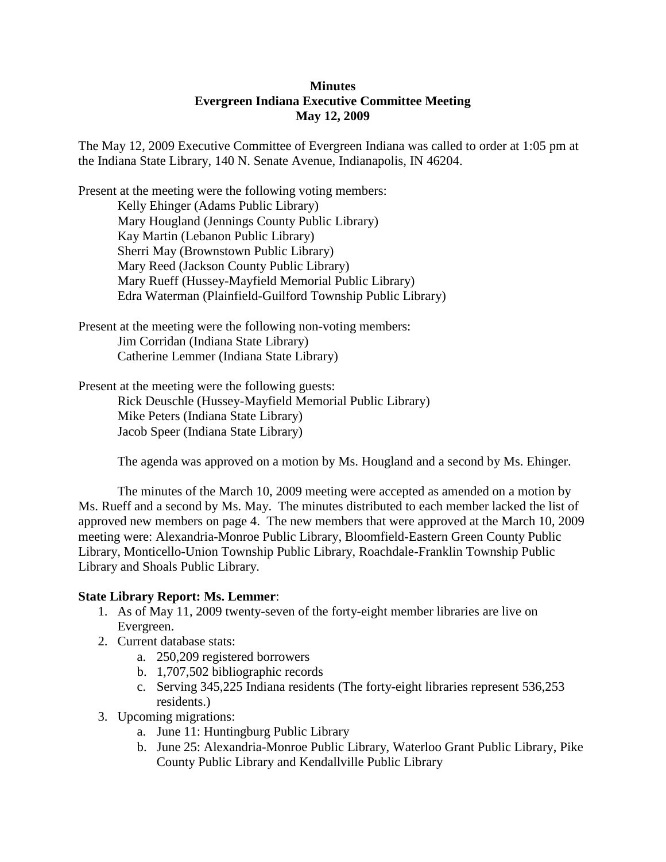# **Minutes Evergreen Indiana Executive Committee Meeting May 12, 2009**

The May 12, 2009 Executive Committee of Evergreen Indiana was called to order at 1:05 pm at the Indiana State Library, 140 N. Senate Avenue, Indianapolis, IN 46204.

Present at the meeting were the following voting members: Kelly Ehinger (Adams Public Library) Mary Hougland (Jennings County Public Library) Kay Martin (Lebanon Public Library) Sherri May (Brownstown Public Library) Mary Reed (Jackson County Public Library) Mary Rueff (Hussey-Mayfield Memorial Public Library) Edra Waterman (Plainfield-Guilford Township Public Library)

Present at the meeting were the following non-voting members: Jim Corridan (Indiana State Library) Catherine Lemmer (Indiana State Library)

Present at the meeting were the following guests: Rick Deuschle (Hussey-Mayfield Memorial Public Library) Mike Peters (Indiana State Library) Jacob Speer (Indiana State Library)

The agenda was approved on a motion by Ms. Hougland and a second by Ms. Ehinger.

The minutes of the March 10, 2009 meeting were accepted as amended on a motion by Ms. Rueff and a second by Ms. May. The minutes distributed to each member lacked the list of approved new members on page 4. The new members that were approved at the March 10, 2009 meeting were: Alexandria-Monroe Public Library, Bloomfield-Eastern Green County Public Library, Monticello-Union Township Public Library, Roachdale-Franklin Township Public Library and Shoals Public Library.

### **State Library Report: Ms. Lemmer**:

- 1. As of May 11, 2009 twenty-seven of the forty-eight member libraries are live on Evergreen.
- 2. Current database stats:
	- a. 250,209 registered borrowers
	- b. 1,707,502 bibliographic records
	- c. Serving 345,225 Indiana residents (The forty-eight libraries represent 536,253 residents.)
- 3. Upcoming migrations:
	- a. June 11: Huntingburg Public Library
	- b. June 25: Alexandria-Monroe Public Library, Waterloo Grant Public Library, Pike County Public Library and Kendallville Public Library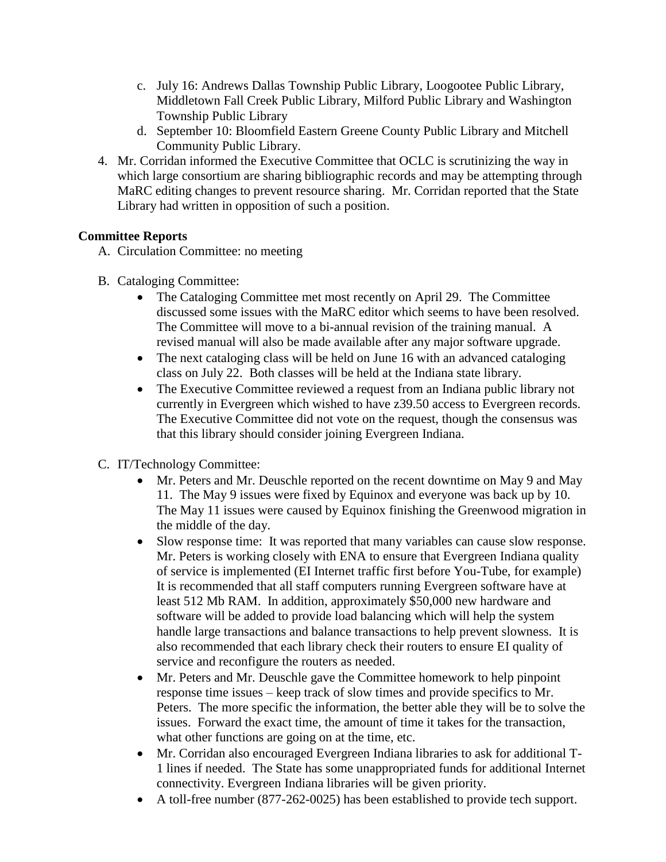- c. July 16: Andrews Dallas Township Public Library, Loogootee Public Library, Middletown Fall Creek Public Library, Milford Public Library and Washington Township Public Library
- d. September 10: Bloomfield Eastern Greene County Public Library and Mitchell Community Public Library.
- 4. Mr. Corridan informed the Executive Committee that OCLC is scrutinizing the way in which large consortium are sharing bibliographic records and may be attempting through MaRC editing changes to prevent resource sharing. Mr. Corridan reported that the State Library had written in opposition of such a position.

# **Committee Reports**

- A. Circulation Committee: no meeting
- B. Cataloging Committee:
	- The Cataloging Committee met most recently on April 29. The Committee discussed some issues with the MaRC editor which seems to have been resolved. The Committee will move to a bi-annual revision of the training manual. A revised manual will also be made available after any major software upgrade.
	- The next cataloging class will be held on June 16 with an advanced cataloging class on July 22. Both classes will be held at the Indiana state library.
	- The Executive Committee reviewed a request from an Indiana public library not currently in Evergreen which wished to have z39.50 access to Evergreen records. The Executive Committee did not vote on the request, though the consensus was that this library should consider joining Evergreen Indiana.
- C. IT/Technology Committee:
	- Mr. Peters and Mr. Deuschle reported on the recent downtime on May 9 and May 11. The May 9 issues were fixed by Equinox and everyone was back up by 10. The May 11 issues were caused by Equinox finishing the Greenwood migration in the middle of the day.
	- Slow response time: It was reported that many variables can cause slow response. Mr. Peters is working closely with ENA to ensure that Evergreen Indiana quality of service is implemented (EI Internet traffic first before You-Tube, for example) It is recommended that all staff computers running Evergreen software have at least 512 Mb RAM. In addition, approximately \$50,000 new hardware and software will be added to provide load balancing which will help the system handle large transactions and balance transactions to help prevent slowness. It is also recommended that each library check their routers to ensure EI quality of service and reconfigure the routers as needed.
	- Mr. Peters and Mr. Deuschle gave the Committee homework to help pinpoint response time issues – keep track of slow times and provide specifics to Mr. Peters. The more specific the information, the better able they will be to solve the issues. Forward the exact time, the amount of time it takes for the transaction, what other functions are going on at the time, etc.
	- Mr. Corridan also encouraged Evergreen Indiana libraries to ask for additional T-1 lines if needed. The State has some unappropriated funds for additional Internet connectivity. Evergreen Indiana libraries will be given priority.
	- A toll-free number (877-262-0025) has been established to provide tech support.